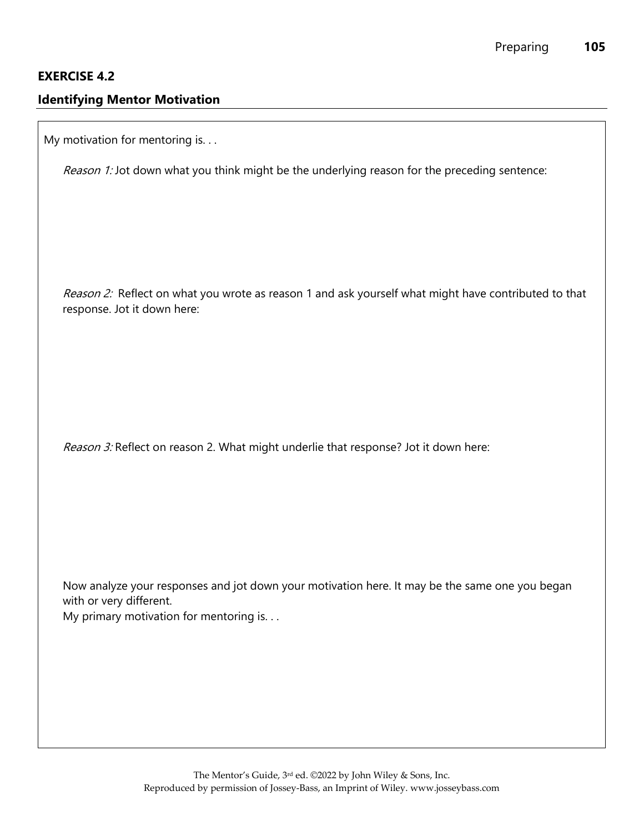## **EXERCISE 4.2**

## **Identifying Mentor Motivation**

My motivation for mentoring is. . .

Reason 1: Jot down what you think might be the underlying reason for the preceding sentence:

Reason 2: Reflect on what you wrote as reason 1 and ask yourself what might have contributed to that response. Jot it down here:

Reason 3: Reflect on reason 2. What might underlie that response? Jot it down here:

Now analyze your responses and jot down your motivation here. It may be the same one you began with or very different.

My primary motivation for mentoring is. . .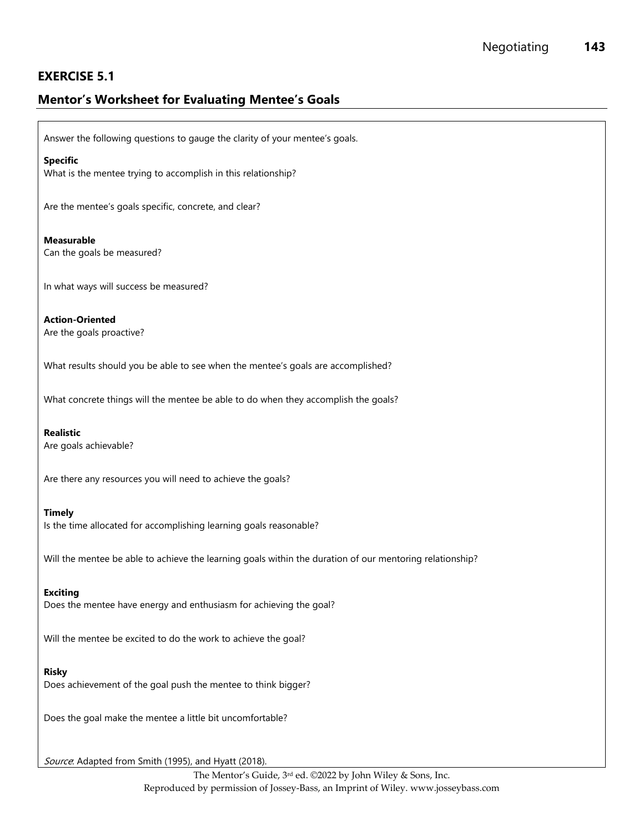# **EXERCISE 5.1**

# **Mentor's Worksheet for Evaluating Mentee's Goals**

Answer the following questions to gauge the clarity of your mentee's goals.

#### **Specific**

What is the mentee trying to accomplish in this relationship?

Are the mentee's goals specific, concrete, and clear?

### **Measurable**

Can the goals be measured?

In what ways will success be measured?

**Action-Oriented** Are the goals proactive?

What results should you be able to see when the mentee's goals are accomplished?

What concrete things will the mentee be able to do when they accomplish the goals?

### **Realistic**

Are goals achievable?

Are there any resources you will need to achieve the goals?

#### **Timely**

Is the time allocated for accomplishing learning goals reasonable?

Will the mentee be able to achieve the learning goals within the duration of our mentoring relationship?

#### **Exciting**

Does the mentee have energy and enthusiasm for achieving the goal?

Will the mentee be excited to do the work to achieve the goal?

#### **Risky**

Does achievement of the goal push the mentee to think bigger?

Does the goal make the mentee a little bit uncomfortable?

Source: Adapted from Smith (1995), and Hyatt (2018).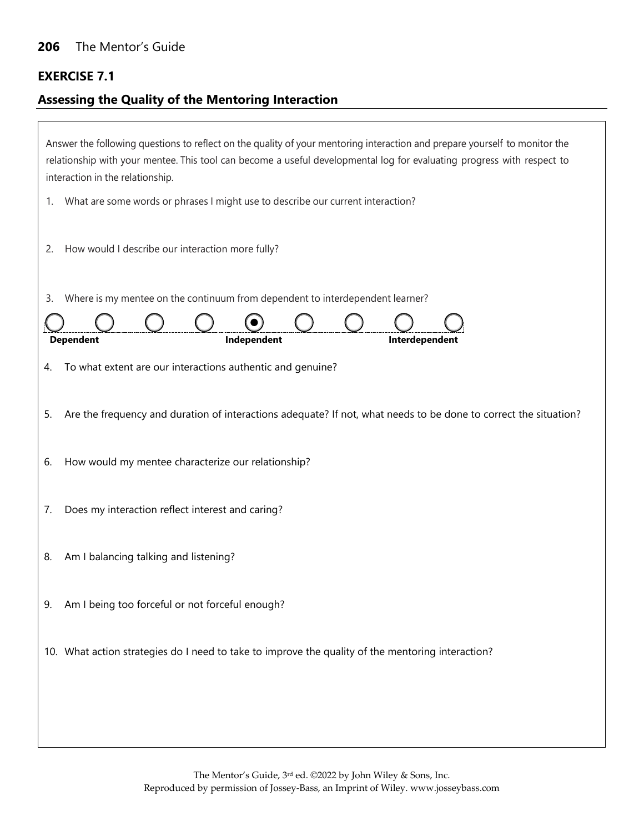# **EXERCISE 7.1**

 $\Gamma$ 

# **Assessing the Quality of the Mentoring Interaction**

| Answer the following questions to reflect on the quality of your mentoring interaction and prepare yourself to monitor the<br>relationship with your mentee. This tool can become a useful developmental log for evaluating progress with respect to<br>interaction in the relationship. |
|------------------------------------------------------------------------------------------------------------------------------------------------------------------------------------------------------------------------------------------------------------------------------------------|
| What are some words or phrases I might use to describe our current interaction?<br>1.                                                                                                                                                                                                    |
| How would I describe our interaction more fully?<br>2.                                                                                                                                                                                                                                   |
| Where is my mentee on the continuum from dependent to interdependent learner?<br>3.                                                                                                                                                                                                      |
| Independent<br>Interdependent<br><b>Dependent</b>                                                                                                                                                                                                                                        |
| To what extent are our interactions authentic and genuine?<br>4.                                                                                                                                                                                                                         |
| Are the frequency and duration of interactions adequate? If not, what needs to be done to correct the situation?<br>5.                                                                                                                                                                   |
| How would my mentee characterize our relationship?<br>6.                                                                                                                                                                                                                                 |
| Does my interaction reflect interest and caring?<br>7.                                                                                                                                                                                                                                   |
| Am I balancing talking and listening?<br>8.                                                                                                                                                                                                                                              |
| Am I being too forceful or not forceful enough?<br>9.                                                                                                                                                                                                                                    |
| 10. What action strategies do I need to take to improve the quality of the mentoring interaction?                                                                                                                                                                                        |
|                                                                                                                                                                                                                                                                                          |
|                                                                                                                                                                                                                                                                                          |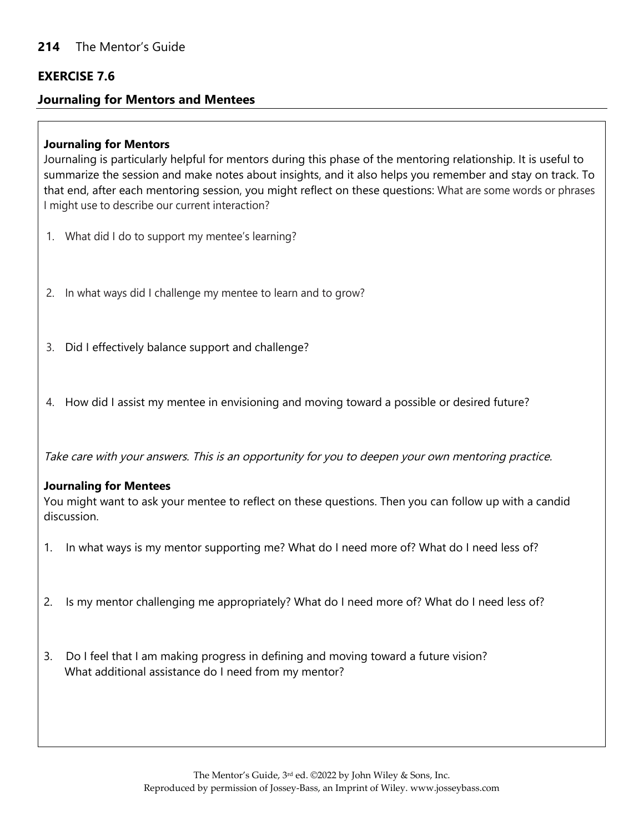## **EXERCISE 7.6**

## **Journaling for Mentors and Mentees**

## **Journaling for Mentors**

Journaling is particularly helpful for mentors during this phase of the mentoring relationship. It is useful to summarize the session and make notes about insights, and it also helps you remember and stay on track. To that end, after each mentoring session, you might reflect on these questions: What are some words or phrases I might use to describe our current interaction?

- 1. What did I do to support my mentee's learning?
- 2. In what ways did I challenge my mentee to learn and to grow?
- 3. Did I effectively balance support and challenge?
- 4. How did I assist my mentee in envisioning and moving toward a possible or desired future?

Take care with your answers. This is an opportunity for you to deepen your own mentoring practice.

## **Journaling for Mentees**

You might want to ask your mentee to reflect on these questions. Then you can follow up with a candid discussion.

- 1. In what ways is my mentor supporting me? What do I need more of? What do I need less of?
- 2. Is my mentor challenging me appropriately? What do I need more of? What do I need less of?
- 3. Do I feel that I am making progress in defining and moving toward a future vision? What additional assistance do I need from my mentor?